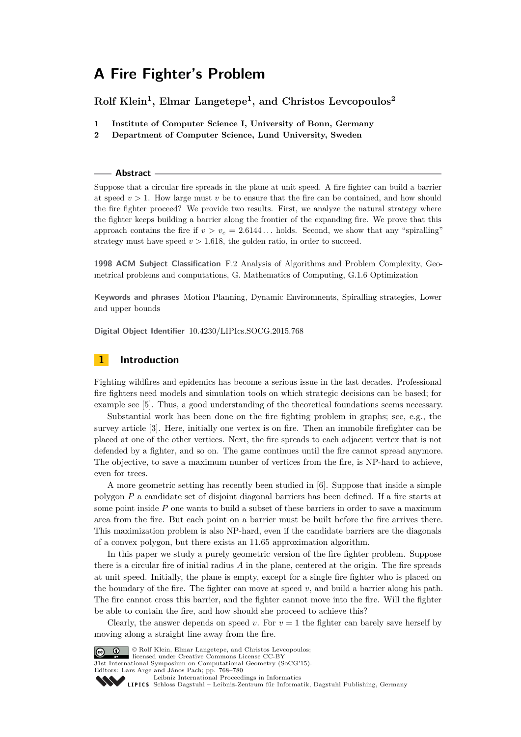**Rolf Klein<sup>1</sup> , Elmar Langetepe<sup>1</sup> , and Christos Levcopoulos<sup>2</sup>**

- **1 Institute of Computer Science I, University of Bonn, Germany**
- **2 Department of Computer Science, Lund University, Sweden**

#### **Abstract**

Suppose that a circular fire spreads in the plane at unit speed. A fire fighter can build a barrier at speed  $v > 1$ . How large must v be to ensure that the fire can be contained, and how should the fire fighter proceed? We provide two results. First, we analyze the natural strategy where the fighter keeps building a barrier along the frontier of the expanding fire. We prove that this approach contains the fire if  $v > v_c = 2.6144...$  holds. Second, we show that any "spiralling" strategy must have speed  $v > 1.618$ , the golden ratio, in order to succeed.

**1998 ACM Subject Classification** F.2 Analysis of Algorithms and Problem Complexity, Geometrical problems and computations, G. Mathematics of Computing, G.1.6 Optimization

**Keywords and phrases** Motion Planning, Dynamic Environments, Spiralling strategies, Lower and upper bounds

**Digital Object Identifier** [10.4230/LIPIcs.SOCG.2015.768](http://dx.doi.org/10.4230/LIPIcs.SOCG.2015.768)

# **1 Introduction**

Fighting wildfires and epidemics has become a serious issue in the last decades. Professional fire fighters need models and simulation tools on which strategic decisions can be based; for example see [\[5\]](#page-12-0). Thus, a good understanding of the theoretical foundations seems necessary.

Substantial work has been done on the fire fighting problem in graphs; see, e.g., the survey article [\[3\]](#page-12-1). Here, initially one vertex is on fire. Then an immobile firefighter can be placed at one of the other vertices. Next, the fire spreads to each adjacent vertex that is not defended by a fighter, and so on. The game continues until the fire cannot spread anymore. The objective, to save a maximum number of vertices from the fire, is NP-hard to achieve, even for trees.

A more geometric setting has recently been studied in [\[6\]](#page-12-2). Suppose that inside a simple polygon *P* a candidate set of disjoint diagonal barriers has been defined. If a fire starts at some point inside *P* one wants to build a subset of these barriers in order to save a maximum area from the fire. But each point on a barrier must be built before the fire arrives there. This maximization problem is also NP-hard, even if the candidate barriers are the diagonals of a convex polygon, but there exists an 11.65 approximation algorithm.

In this paper we study a purely geometric version of the fire fighter problem. Suppose there is a circular fire of initial radius *A* in the plane, centered at the origin. The fire spreads at unit speed. Initially, the plane is empty, except for a single fire fighter who is placed on the boundary of the fire. The fighter can move at speed *v*, and build a barrier along his path. The fire cannot cross this barrier, and the fighter cannot move into the fire. Will the fighter be able to contain the fire, and how should she proceed to achieve this?

Clearly, the answer depends on speed  $v$ . For  $v = 1$  the fighter can barely save herself by moving along a straight line away from the fire.



**C**  $\bullet$  **0** Rolf Klein, Elmar Langetepe, and Christos Levcopoulos; licensed under Creative Commons License CC-BY

31st International Symposium on Computational Geometry (SoCG'15).

Editors: Lars Arge and János Pach; pp. 768[–780](#page-12-3)

[Leibniz International Proceedings in Informatics](http://www.dagstuhl.de/lipics/)

Leibniz international Froceedings in informatik, Dagstuhl Publishing, Germany<br>LIPICS [Schloss Dagstuhl – Leibniz-Zentrum für Informatik, Dagstuhl Publishing, Germany](http://www.dagstuhl.de)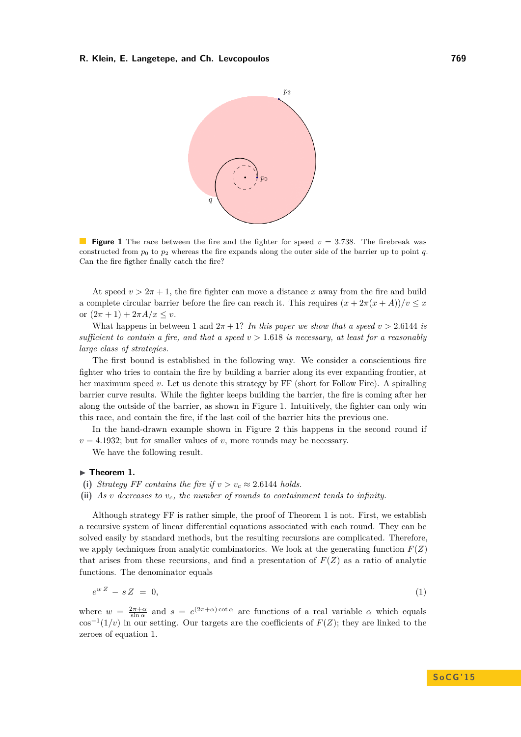<span id="page-1-0"></span>

**Figure 1** The race between the fire and the fighter for speed *v* = 3*.*738. The firebreak was constructed from  $p_0$  to  $p_2$  whereas the fire expands along the outer side of the barrier up to point  $q$ . Can the fire figther finally catch the fire?

At speed  $v > 2\pi + 1$ , the fire fighter can move a distance x away from the fire and build a complete circular barrier before the fire can reach it. This requires  $(x + 2\pi(x + A))/v \leq x$ or  $(2\pi + 1) + 2\pi A/x \leq v$ .

What happens in between 1 and  $2\pi + 1$ ? In this paper we show that a speed  $v > 2.6144$  is *sufficient to contain a fire, and that a speed v >* 1*.*618 *is necessary, at least for a reasonably large class of strategies.*

The first bound is established in the following way. We consider a conscientious fire fighter who tries to contain the fire by building a barrier along its ever expanding frontier, at her maximum speed *v*. Let us denote this strategy by FF (short for Follow Fire). A spiralling barrier curve results. While the fighter keeps building the barrier, the fire is coming after her along the outside of the barrier, as shown in Figure [1.](#page-1-0) Intuitively, the fighter can only win this race, and contain the fire, if the last coil of the barrier hits the previous one.

In the hand-drawn example shown in Figure [2](#page-2-0) this happens in the second round if  $v = 4.1932$ ; but for smaller values of *v*, more rounds may be necessary.

We have the following result.

#### <span id="page-1-1"></span>▶ Theorem 1.

- (i) *Strategy FF contains the fire if*  $v > v_c \approx 2.6144$  *holds.*
- **(ii)** *As v decreases to vc, the number of rounds to containment tends to infinity.*

Although strategy FF is rather simple, the proof of Theorem [1](#page-1-1) is not. First, we establish a recursive system of linear differential equations associated with each round. They can be solved easily by standard methods, but the resulting recursions are complicated. Therefore, we apply techniques from analytic combinatorics. We look at the generating function  $F(Z)$ that arises from these recursions, and find a presentation of  $F(Z)$  as a ratio of analytic functions. The denominator equals

<span id="page-1-2"></span>
$$
e^{wZ} - sZ = 0,\t\t(1)
$$

where  $w = \frac{2\pi + \alpha}{\sin \alpha}$  and  $s = e^{(2\pi + \alpha)\cot \alpha}$  are functions of a real variable  $\alpha$  which equals  $\cos^{-1}(1/v)$  in our setting. Our targets are the coefficients of  $F(Z)$ ; they are linked to the zeroes of equation [1.](#page-1-2)

**S o C G ' 1 5**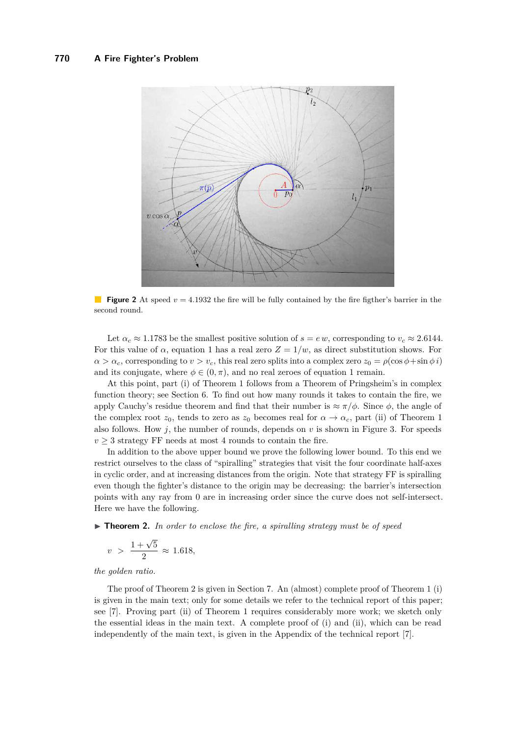<span id="page-2-0"></span>

**Figure 2** At speed  $v = 4.1932$  the fire will be fully contained by the fire figther's barrier in the second round.

Let  $\alpha_c \approx 1.1783$  be the smallest positive solution of  $s = e \, w$ , corresponding to  $v_c \approx 2.6144$ . For this value of  $\alpha$ , equation [1](#page-1-2) has a real zero  $Z = 1/w$ , as direct substitution shows. For  $\alpha > \alpha_c$ , corresponding to  $v > v_c$ , this real zero splits into a complex zero  $z_0 = \rho(\cos \phi + \sin \phi i)$ and its conjugate, where  $\phi \in (0, \pi)$ , and no real zeroes of equation [1](#page-1-2) remain.

At this point, part (i) of Theorem [1](#page-1-1) follows from a Theorem of Pringsheim's in complex function theory; see Section [6.](#page-9-0) To find out how many rounds it takes to contain the fire, we apply Cauchy's residue theorem and find that their number is  $\approx \pi/\phi$ . Since  $\phi$ , the angle of the complex root  $z_0$ , tends to zero as  $z_0$  becomes real for  $\alpha \to \alpha_c$ , part (ii) of Theorem [1](#page-1-1) also follows. How  $j$ , the number of rounds, depends on  $v$  is shown in Figure [3.](#page-3-0) For speeds  $v \geq 3$  strategy FF needs at most 4 rounds to contain the fire.

In addition to the above upper bound we prove the following lower bound. To this end we restrict ourselves to the class of "spiralling" strategies that visit the four coordinate half-axes in cyclic order, and at increasing distances from the origin. Note that strategy FF is spiralling even though the fighter's distance to the origin may be decreasing: the barrier's intersection points with any ray from 0 are in increasing order since the curve does not self-intersect. Here we have the following.

<span id="page-2-1"></span> $\triangleright$  **Theorem 2.** In order to enclose the fire, a spiralling strategy must be of speed

$$
v > \frac{1+\sqrt{5}}{2} \approx 1.618,
$$

*the golden ratio.*

The proof of Theorem [2](#page-2-1) is given in Section [7.](#page-10-0) An (almost) complete proof of Theorem [1](#page-1-1) (i) is given in the main text; only for some details we refer to the technical report of this paper; see [\[7\]](#page-12-4). Proving part (ii) of Theorem [1](#page-1-1) requires considerably more work; we sketch only the essential ideas in the main text. A complete proof of (i) and (ii), which can be read independently of the main text, is given in the Appendix of the technical report [\[7\]](#page-12-4).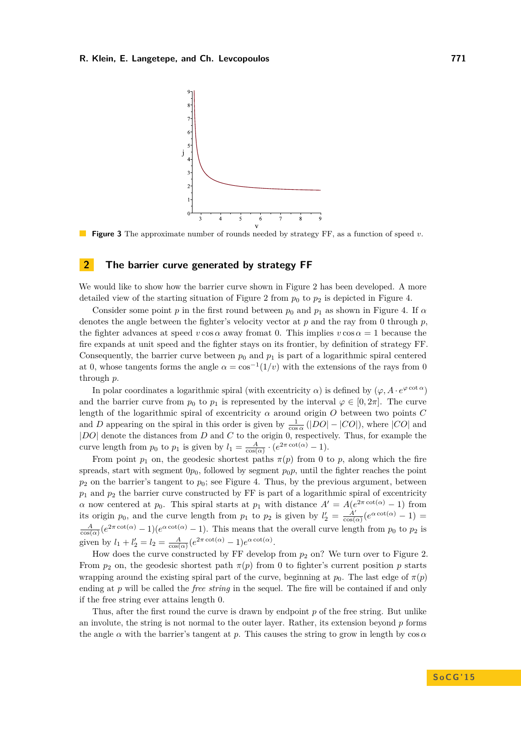<span id="page-3-0"></span>

**Figure 3** The approximate number of rounds needed by strategy FF, as a function of speed *v*.

# <span id="page-3-1"></span>**2 The barrier curve generated by strategy FF**

We would like to show how the barrier curve shown in Figure [2](#page-2-0) has been developed. A more detailed view of the starting situation of Figure [2](#page-2-0) from  $p_0$  to  $p_2$  is depicted in Figure [4.](#page-4-0)

Consider some point *p* in the first round between  $p_0$  and  $p_1$  as shown in Figure [4.](#page-4-0) If  $\alpha$ denotes the angle between the fighter's velocity vector at *p* and the ray from 0 through *p*, the fighter advances at speed  $v \cos \alpha$  away fromat 0. This implies  $v \cos \alpha = 1$  because the fire expands at unit speed and the fighter stays on its frontier, by definition of strategy FF. Consequently, the barrier curve between  $p_0$  and  $p_1$  is part of a logarithmic spiral centered at 0, whose tangents forms the angle  $\alpha = \cos^{-1}(1/v)$  with the extensions of the rays from 0 through *p*.

In polar coordinates a logarithmic spiral (with excentricity  $\alpha$ ) is defined by  $(\varphi, A \cdot e^{\varphi \cot \alpha})$ and the barrier curve from  $p_0$  to  $p_1$  is represented by the interval  $\varphi \in [0, 2\pi]$ . The curve length of the logarithmic spiral of excentricity *α* around origin *O* between two points *C* and *D* appearing on the spiral in this order is given by  $\frac{1}{\cos \alpha} (|DO| - |CO|)$ , where  $|CO|$  and |*DO*| denote the distances from *D* and *C* to the origin 0, respectively. Thus, for example the curve length from  $p_0$  to  $p_1$  is given by  $l_1 = \frac{A}{\cos(\alpha)} \cdot (e^{2\pi \cot(\alpha)} - 1)$ .

From point  $p_1$  on, the geodesic shortest paths  $\pi(p)$  from 0 to  $p$ , along which the fire spreads, start with segment  $0p_0$ , followed by segment  $p_0p$ , until the fighter reaches the point *p*<sup>2</sup> on the barrier's tangent to *p*0; see Figure [4.](#page-4-0) Thus, by the previous argument, between  $p_1$  and  $p_2$  the barrier curve constructed by FF is part of a logarithmic spiral of excentricity *α* now centered at *p*<sub>0</sub>. This spiral starts at *p*<sub>1</sub> with distance  $A' = A(e^{2\pi \cot(\alpha)} - 1)$  from its origin  $p_0$ , and the curve length from  $p_1$  to  $p_2$  is given by  $l'_2 = \frac{A'}{\cos(\theta)}$  $\frac{A'}{\cos(\alpha)}(e^{\alpha \cot(\alpha)}-1)$  =  $\frac{A}{\cos(\alpha)}(e^{2\pi \cot(\alpha)}-1)(e^{\alpha \cot(\alpha)}-1)$ . This means that the overall curve length from *p*<sub>0</sub> to *p*<sub>2</sub> is given by  $l_1 + l'_2 = l_2 = \frac{A}{\cos(\alpha)} (e^{2\pi \cot(\alpha)} - 1) e^{\alpha \cot(\alpha)}$ .

How does the curve constructed by FF develop from  $p_2$  on? We turn over to Figure [2.](#page-2-0) From  $p_2$  on, the geodesic shortest path  $\pi(p)$  from 0 to fighter's current position p starts wrapping around the existing spiral part of the curve, beginning at  $p_0$ . The last edge of  $\pi(p)$ ending at *p* will be called the *free string* in the sequel. The fire will be contained if and only if the free string ever attains length 0.

Thus, after the first round the curve is drawn by endpoint *p* of the free string. But unlike an involute, the string is not normal to the outer layer. Rather, its extension beyond *p* forms the angle  $\alpha$  with the barrier's tangent at  $p$ . This causes the string to grow in length by  $\cos \alpha$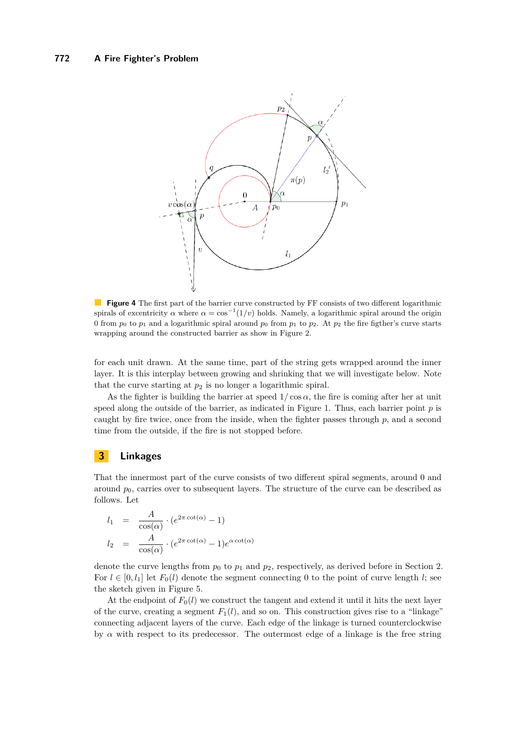<span id="page-4-0"></span>

**Figure 4** The first part of the barrier curve constructed by FF consists of two different logarithmic spirals of excentricity  $\alpha$  where  $\alpha = \cos^{-1}(1/v)$  holds. Namely, a logarithmic spiral around the origin 0 from  $p_0$  to  $p_1$  and a logarithmic spiral around  $p_0$  from  $p_1$  to  $p_2$ . At  $p_2$  the fire figther's curve starts wrapping around the constructed barrier as show in Figure [2.](#page-2-0)

for each unit drawn. At the same time, part of the string gets wrapped around the inner layer. It is this interplay between growing and shrinking that we will investigate below. Note that the curve starting at  $p_2$  is no longer a logarithmic spiral.

As the fighter is building the barrier at speed  $1/\cos \alpha$ , the fire is coming after her at unit speed along the outside of the barrier, as indicated in Figure [1.](#page-1-0) Thus, each barrier point *p* is caught by fire twice, once from the inside, when the fighter passes through  $p$ , and a second time from the outside, if the fire is not stopped before.

# <span id="page-4-1"></span>**3 Linkages**

That the innermost part of the curve consists of two different spiral segments, around 0 and around  $p_0$ , carries over to subsequent layers. The structure of the curve can be described as follows. Let

$$
l_1 = \frac{A}{\cos(\alpha)} \cdot (e^{2\pi \cot(\alpha)} - 1)
$$
  
\n
$$
l_2 = \frac{A}{\cos(\alpha)} \cdot (e^{2\pi \cot(\alpha)} - 1)e^{\alpha \cot(\alpha)}
$$

denote the curve lengths from  $p_0$  to  $p_1$  and  $p_2$ , respectively, as derived before in Section [2.](#page-3-1) For  $l \in [0, l_1]$  let  $F_0(l)$  denote the segment connecting 0 to the point of curve length *l*; see the sketch given in Figure [5.](#page-5-0)

At the endpoint of  $F_0(l)$  we construct the tangent and extend it until it hits the next layer of the curve, creating a segment  $F_1(l)$ , and so on. This construction gives rise to a "linkage" connecting adjacent layers of the curve. Each edge of the linkage is turned counterclockwise by *α* with respect to its predecessor. The outermost edge of a linkage is the free string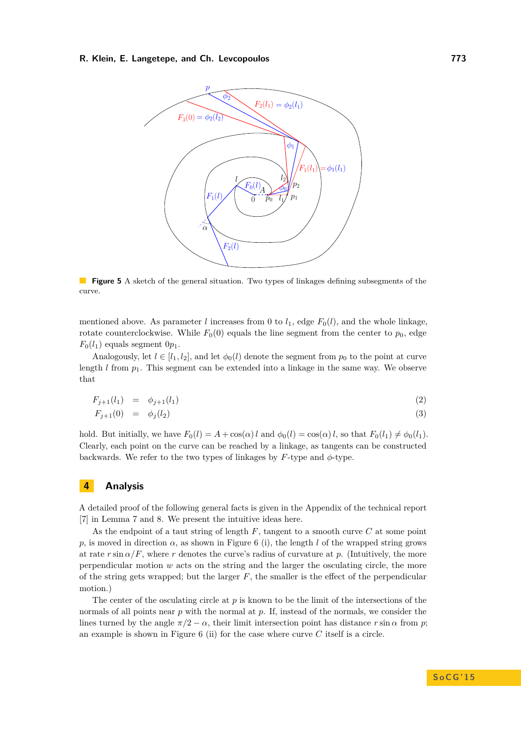<span id="page-5-0"></span>

**Figure 5** A sketch of the general situation. Two types of linkages defining subsegments of the curve.

mentioned above. As parameter *l* increases from 0 to  $l_1$ , edge  $F_0(l)$ , and the whole linkage. rotate counterclockwise. While  $F_0(0)$  equals the line segment from the center to  $p_0$ , edge  $F_0(l_1)$  equals segment  $0p_1$ .

Analogously, let  $l \in [l_1, l_2]$ , and let  $\phi_0(l)$  denote the segment from  $p_0$  to the point at curve length *l* from *p*1. This segment can be extended into a linkage in the same way. We observe that

<span id="page-5-1"></span>
$$
F_{j+1}(l_1) = \phi_{j+1}(l_1) \tag{2}
$$

$$
F_{j+1}(0) = \phi_j(l_2) \tag{3}
$$

hold. But initially, we have  $F_0(l) = A + \cos(\alpha) l$  and  $\phi_0(l) = \cos(\alpha) l$ , so that  $F_0(l_1) \neq \phi_0(l_1)$ . Clearly, each point on the curve can be reached by a linkage, as tangents can be constructed backwards. We refer to the two types of linkages by  $F$ -type and  $\phi$ -type.

# **4 Analysis**

A detailed proof of the following general facts is given in the Appendix of the technical report [\[7\]](#page-12-4) in Lemma 7 and 8. We present the intuitive ideas here.

As the endpoint of a taut string of length *F*, tangent to a smooth curve *C* at some point *p*, is moved in direction  $\alpha$ , as shown in Figure [6](#page-6-0) (i), the length *l* of the wrapped string grows at rate  $r \sin \alpha / F$ , where  $r$  denotes the curve's radius of curvature at  $p$ . (Intuitively, the more perpendicular motion *w* acts on the string and the larger the osculating circle, the more of the string gets wrapped; but the larger  $F$ , the smaller is the effect of the perpendicular motion.)

The center of the osculating circle at *p* is known to be the limit of the intersections of the normals of all points near *p* with the normal at *p*. If, instead of the normals, we consider the lines turned by the angle  $\pi/2 - \alpha$ , their limit intersection point has distance *r* sin  $\alpha$  from *p*; an example is shown in Figure [6](#page-6-0) (ii) for the case where curve *C* itself is a circle.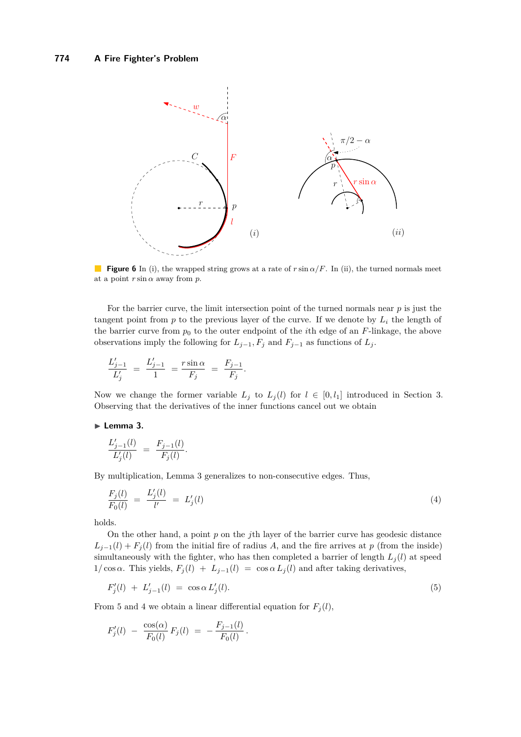<span id="page-6-0"></span>

**Figure 6** In (i), the wrapped string grows at a rate of *r* sin *α/F*. In (ii), the turned normals meet at a point  $r \sin \alpha$  away from  $p$ .

For the barrier curve, the limit intersection point of the turned normals near *p* is just the tangent point from  $p$  to the previous layer of the curve. If we denote by  $L_i$  the length of the barrier curve from  $p_0$  to the outer endpoint of the *i*th edge of an  $F$ -linkage, the above observations imply the following for  $L_{j-1}, F_j$  and  $F_{j-1}$  as functions of  $L_j$ .

$$
\frac{L'_{j-1}}{L'_j} = \frac{L'_{j-1}}{1} = \frac{r \sin \alpha}{F_j} = \frac{F_{j-1}}{F_j}.
$$

Now we change the former variable  $L_j$  to  $L_j(l)$  for  $l \in [0, l_1]$  introduced in Section [3.](#page-4-1) Observing that the derivatives of the inner functions cancel out we obtain

## <span id="page-6-1"></span>E Lemma 3.

$$
\frac{L'_{j-1}(l)}{L'_{j}(l)} = \frac{F_{j-1}(l)}{F_{j}(l)}.
$$

By multiplication, Lemma [3](#page-6-1) generalizes to non-consecutive edges. Thus,

<span id="page-6-3"></span>
$$
\frac{F_j(l)}{F_0(l)} = \frac{L'_j(l)}{l'} = L'_j(l) \tag{4}
$$

holds.

On the other hand, a point *p* on the *j*th layer of the barrier curve has geodesic distance  $L_{j-1}(l) + F_j(l)$  from the initial fire of radius *A*, and the fire arrives at *p* (from the inside) simultaneously with the fighter, who has then completed a barrier of length  $L_j(l)$  at speed  $1/\cos \alpha$ . This yields,  $F_j(l) + L_{j-1}(l) = \cos \alpha L_j(l)$  and after taking derivatives,

<span id="page-6-2"></span>
$$
F'_{j}(l) + L'_{j-1}(l) = \cos \alpha L'_{j}(l). \tag{5}
$$

From [5](#page-6-2) and [4](#page-6-3) we obtain a linear differential equation for  $F_j(l)$ ,

$$
F'_{j}(l) - \frac{\cos(\alpha)}{F_0(l)} F_{j}(l) = -\frac{F_{j-1}(l)}{F_0(l)}.
$$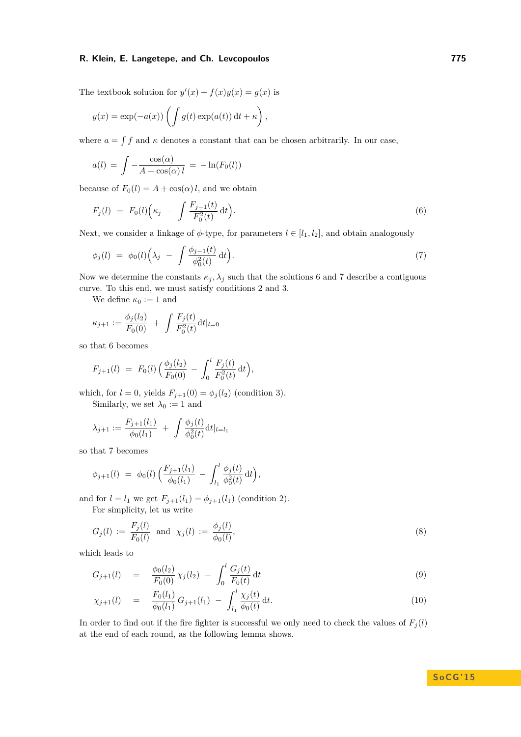The textbook solution for  $y'(x) + f(x)y(x) = g(x)$  is

$$
y(x) = \exp(-a(x)) \left( \int g(t) \exp(a(t)) dt + \kappa \right),
$$

where  $a = \int f$  and  $\kappa$  denotes a constant that can be chosen arbitrarily. In our case,

$$
a(l) = \int -\frac{\cos(\alpha)}{A + \cos(\alpha) l} = -\ln(F_0(l))
$$

because of  $F_0(l) = A + \cos(\alpha) l$ , and we obtain

<span id="page-7-0"></span>
$$
F_j(l) = F_0(l) \left( \kappa_j - \int \frac{F_{j-1}(t)}{F_0^2(t)} dt \right).
$$
 (6)

Next, we consider a linkage of  $\phi$ -type, for parameters  $l \in [l_1, l_2]$ , and obtain analogously

<span id="page-7-1"></span>
$$
\phi_j(l) = \phi_0(l) \left( \lambda_j - \int \frac{\phi_{j-1}(t)}{\phi_0^2(t)} dt \right).
$$
\n(7)

Now we determine the constants  $\kappa_j$ ,  $\lambda_j$  such that the solutions [6](#page-7-0) and [7](#page-7-1) describe a contiguous curve. To this end, we must satisfy conditions [2](#page-5-1) and [3.](#page-5-1)

We define  $\kappa_0 := 1$  and

$$
\kappa_{j+1} := \frac{\phi_j(l_2)}{F_0(0)} + \int \frac{F_j(t)}{F_0^2(t)} dt |_{l=0}
$$

so that [6](#page-7-0) becomes

$$
F_{j+1}(l) = F_0(l) \left( \frac{\phi_j(l_2)}{F_0(0)} - \int_0^l \frac{F_j(t)}{F_0^2(t)} dt \right),
$$

which, for  $l = 0$ , yields  $F_{j+1}(0) = \phi_j(l_2)$  (condition [3\)](#page-5-1). Similarly, we set  $\lambda_0 := 1$  and

$$
\lambda_{j+1} := \frac{F_{j+1}(l_1)}{\phi_0(l_1)} + \int \frac{\phi_j(t)}{\phi_0^2(t)} dt |_{l=l_1}
$$

so that [7](#page-7-1) becomes

$$
\phi_{j+1}(l) = \phi_0(l) \left( \frac{F_{j+1}(l_1)}{\phi_0(l_1)} - \int_{l_1}^l \frac{\phi_j(t)}{\phi_0^2(t)} dt \right),
$$

and for  $l = l_1$  we get  $F_{j+1}(l_1) = \phi_{j+1}(l_1)$  (condition [2\)](#page-5-1). For simplicity, let us write

$$
G_j(l) := \frac{F_j(l)}{F_0(l)} \text{ and } \chi_j(l) := \frac{\phi_j(l)}{\phi_0(l)},
$$
\n(8)

which leads to

<span id="page-7-2"></span>
$$
G_{j+1}(l) = \frac{\phi_0(l_2)}{F_0(0)} \chi_j(l_2) - \int_0^l \frac{G_j(t)}{F_0(t)} dt
$$
\n(9)

$$
\chi_{j+1}(l) = \frac{F_0(l_1)}{\phi_0(l_1)} G_{j+1}(l_1) - \int_{l_1}^l \frac{\chi_j(t)}{\phi_0(t)} dt.
$$
\n(10)

In order to find out if the fire fighter is successful we only need to check the values of  $F_j(l)$ at the end of each round, as the following lemma shows.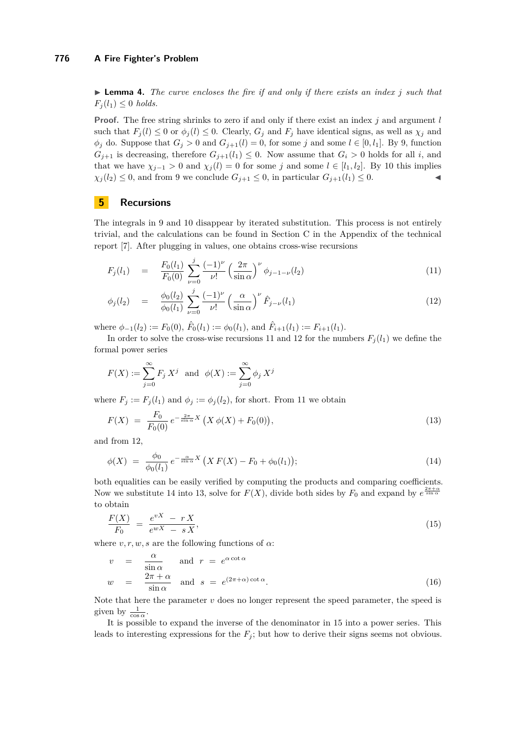$\triangleright$  **Lemma 4.** The curve encloses the fire if and only if there exists an index j such that  $F_i(l_1) \leq 0$  *holds.* 

**Proof.** The free string shrinks to zero if and only if there exist an index *j* and argument *l* such that  $F_i(l) \leq 0$  or  $\phi_i(l) \leq 0$ . Clearly,  $G_i$  and  $F_j$  have identical signs, as well as  $\chi_i$  and  $\phi_j$  do. Suppose that  $G_j > 0$  and  $G_{j+1}(l) = 0$ , for some *j* and some  $l \in [0, l_1]$ . By [9,](#page-7-2) function  $G_{j+1}$  is decreasing, therefore  $G_{j+1}(l_1) \leq 0$ . Now assume that  $G_i > 0$  holds for all *i*, and that we have  $\chi_{j-1} > 0$  and  $\chi_j(l) = 0$  for some *j* and some  $l \in [l_1, l_2]$ . By [10](#page-7-2) this implies  $\chi_j(l_2) \leq 0$ , and from [9](#page-7-2) we conclude  $G_{j+1} \leq 0$ , in particular  $G_{j+1}(l_1) \leq 0$ .

# **5 Recursions**

The integrals in [9](#page-7-2) and [10](#page-7-2) disappear by iterated substitution. This process is not entirely trivial, and the calculations can be found in Section C in the Appendix of the technical report [\[7\]](#page-12-4). After plugging in values, one obtains cross-wise recursions

<span id="page-8-0"></span>
$$
F_j(l_1) = \frac{F_0(l_1)}{F_0(0)} \sum_{\nu=0}^j \frac{(-1)^{\nu}}{\nu!} \left(\frac{2\pi}{\sin \alpha}\right)^{\nu} \phi_{j-1-\nu}(l_2)
$$
\n(11)

$$
\phi_j(l_2) = \frac{\phi_0(l_2)}{\phi_0(l_1)} \sum_{\nu=0}^j \frac{(-1)^{\nu}}{\nu!} \left(\frac{\alpha}{\sin \alpha}\right)^{\nu} \hat{F}_{j-\nu}(l_1) \tag{12}
$$

where  $\phi_{-1}(l_2) := F_0(0), \hat{F}_0(l_1) := \phi_0(l_1),$  and  $\hat{F}_{i+1}(l_1) := F_{i+1}(l_1).$ 

In order to solve the cross-wise recursions [11](#page-8-0) and [12](#page-8-0) for the numbers  $F_j(l_1)$  we define the formal power series

$$
F(X) := \sum_{j=0}^{\infty} F_j X^j
$$
 and  $\phi(X) := \sum_{j=0}^{\infty} \phi_j X^j$ 

where  $F_j := F_j(l_1)$  and  $\phi_j := \phi_j(l_2)$ , for short. From [11](#page-8-0) we obtain

<span id="page-8-2"></span>
$$
F(X) = \frac{F_0}{F_0(0)} e^{-\frac{2\pi}{\sin \alpha} X} \left( X \phi(X) + F_0(0) \right), \tag{13}
$$

and from [12,](#page-8-0)

<span id="page-8-1"></span>
$$
\phi(X) = \frac{\phi_0}{\phi_0(l_1)} e^{-\frac{\alpha}{\sin \alpha} X} \left( X F(X) - F_0 + \phi_0(l_1) \right); \tag{14}
$$

both equalities can be easily verified by computing the products and comparing coefficients. Now we substitute [14](#page-8-1) into [13,](#page-8-2) solve for  $F(X)$ , divide both sides by  $F_0$  and expand by  $e^{\frac{2\pi+\alpha}{\sin\alpha}}$ to obtain

<span id="page-8-3"></span>
$$
\frac{F(X)}{F_0} = \frac{e^{vX} - rX}{e^{wX} - sX},\tag{15}
$$

where  $v, r, w, s$  are the following functions of  $\alpha$ :

$$
v = \frac{\alpha}{\sin \alpha} \quad \text{and} \quad r = e^{\alpha \cot \alpha}
$$
  

$$
w = \frac{2\pi + \alpha}{\sin \alpha} \quad \text{and} \quad s = e^{(2\pi + \alpha)\cot \alpha}.
$$
 (16)

Note that here the parameter *v* does no longer represent the speed parameter, the speed is given by  $\frac{1}{\cos \alpha}$ .

It is possible to expand the inverse of the denominator in [15](#page-8-3) into a power series. This leads to interesting expressions for the  $F_j$ ; but how to derive their signs seems not obvious.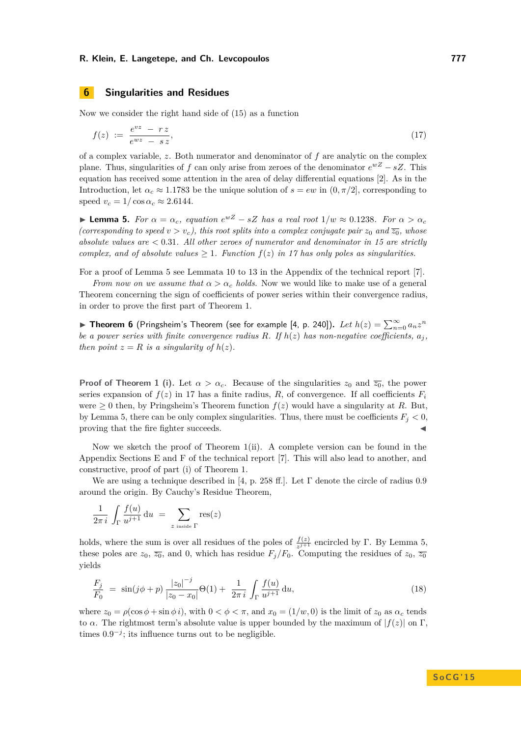# <span id="page-9-0"></span>**6 Singularities and Residues**

Now we consider the right hand side of [\(15\)](#page-8-3) as a function

<span id="page-9-1"></span>
$$
f(z) := \frac{e^{vz} - rz}{e^{wz} - sz},\tag{17}
$$

of a complex variable, *z*. Both numerator and denominator of *f* are analytic on the complex plane. Thus, singularities of *f* can only arise from zeroes of the denominator  $e^{wZ} - sZ$ . This equation has received some attention in the area of delay differential equations [\[2\]](#page-12-5). As in the Introduction, let  $\alpha_c \approx 1.1783$  be the unique solution of  $s = ew$  in  $(0, \pi/2]$ , corresponding to speed  $v_c = 1/\cos \alpha_c \approx 2.6144$ .

<span id="page-9-2"></span> $\blacktriangleright$  **Lemma 5.** *For*  $\alpha = \alpha_c$ *, equation*  $e^{wZ} - sZ$  *has a real root*  $1/w ≈ 0.1238$ *. For*  $\alpha > \alpha_c$ *(corresponding to speed*  $v > v_c$ *), this root splits into a complex conjugate pair*  $z_0$  *and*  $\overline{z_0}$ *, whose absolute values are <* 0*.*31*. All other zeroes of numerator and denominator in [15](#page-8-3) are strictly complex, and of absolute values*  $\geq 1$ *. Function*  $f(z)$  *in* [17](#page-9-1) has only poles as singularities.

For a proof of Lemma [5](#page-9-2) see Lemmata 10 to 13 in the Appendix of the technical report [\[7\]](#page-12-4).

*From now on we assume that*  $\alpha > \alpha_c$  *holds.* Now we would like to make use of a general Theorem concerning the sign of coefficients of power series within their convergence radius, in order to prove the first part of Theorem [1.](#page-1-1)

▶ Theorem 6 (Pringsheim's Theorem (see for example [\[4,](#page-12-6) p. 240]). Let  $h(z) = \sum_{n=0}^{\infty} a_n z^n$ *be a power series with finite convergence radius R. If*  $h(z)$  *has non-negative coefficients,*  $a_j$ *then point*  $z = R$  *is a singularity of*  $h(z)$ *.* 

**Proof of Theorem [1](#page-1-1) (i).** Let  $\alpha > \alpha_c$ . Because of the singularities  $z_0$  and  $\overline{z_0}$ , the power series expansion of  $f(z)$  in [17](#page-9-1) has a finite radius,  $R$ , of convergence. If all coefficients  $F_i$ were  $\geq 0$  then, by Pringsheim's Theorem function  $f(z)$  would have a singularity at *R*. But, by Lemma [5,](#page-9-2) there can be only complex singularities. Thus, there must be coefficients  $F_i < 0$ , proving that the fire fighter succeeds.  $\blacksquare$ 

Now we sketch the proof of Theorem [1\(](#page-1-1)ii). A complete version can be found in the Appendix Sections E and F of the technical report [\[7\]](#page-12-4). This will also lead to another, and constructive, proof of part (i) of Theorem [1.](#page-1-1)

We are using a technique described in [\[4,](#page-12-6) p. 258 ff.]. Let Γ denote the circle of radius 0*.*9 around the origin. By Cauchy's Residue Theorem,

$$
\frac{1}{2\pi i} \int_{\Gamma} \frac{f(u)}{u^{j+1}} du = \sum_{z \text{ inside } \Gamma} \text{res}(z)
$$

holds, where the sum is over all residues of the poles of  $\frac{f(z)}{z^{j+1}}$  encircled by Γ. By Lemma [5,](#page-9-2) these poles are  $z_0$ ,  $\overline{z_0}$ , and 0, which has residue  $F_j/F_0$ . Computing the residues of  $z_0$ ,  $\overline{z_0}$ yields

<span id="page-9-3"></span>
$$
\frac{F_j}{F_0} = \sin(j\phi + p) \frac{|z_0|^{-j}}{|z_0 - x_0|} \Theta(1) + \frac{1}{2\pi i} \int_{\Gamma} \frac{f(u)}{u^{j+1}} du,
$$
\n(18)

where  $z_0 = \rho(\cos \phi + \sin \phi i)$ , with  $0 < \phi < \pi$ , and  $x_0 = (1/w, 0)$  is the limit of  $z_0$  as  $\alpha_c$  tends to *α*. The rightmost term's absolute value is upper bounded by the maximum of  $|f(z)|$  on Γ, times  $0.9^{-j}$ ; its influence turns out to be negligible.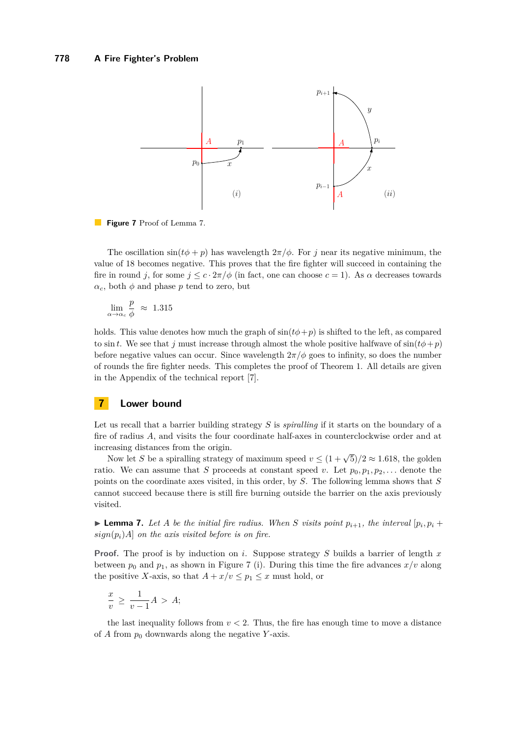<span id="page-10-2"></span>

**Figure 7** Proof of Lemma [7.](#page-10-1)

The oscillation  $sin(t\phi + p)$  has wavelength  $2\pi/\phi$ . For *j* near its negative minimum, the value of [18](#page-9-3) becomes negative. This proves that the fire fighter will succeed in containing the fire in round *j*, for some  $j \leq c \cdot 2\pi/\phi$  (in fact, one can choose  $c = 1$ ). As  $\alpha$  decreases towards  $\alpha_c$ , both  $\phi$  and phase *p* tend to zero, but

$$
\lim_{\alpha \to \alpha_c} \frac{p}{\phi} \; \approx \; 1.315
$$

holds. This value denotes how much the graph of  $sin(t\phi + p)$  is shifted to the left, as compared to sin *t*. We see that *j* must increase through almost the whole positive halfwave of  $sin(t\phi + p)$ before negative values can occur. Since wavelength  $2\pi/\phi$  goes to infinity, so does the number of rounds the fire fighter needs. This completes the proof of Theorem [1.](#page-1-1) All details are given in the Appendix of the technical report [\[7\]](#page-12-4).

## <span id="page-10-0"></span>**7 Lower bound**

Let us recall that a barrier building strategy *S* is *spiralling* if it starts on the boundary of a fire of radius *A*, and visits the four coordinate half-axes in counterclockwise order and at increasing distances from the origin.

Fracting distances from the origin.<br>Now let *S* be a spiralling strategy of maximum speed  $v \le (1 + \sqrt{5})/2 \approx 1.618$ , the golden ratio. We can assume that *S* proceeds at constant speed *v*. Let  $p_0, p_1, p_2, \ldots$  denote the points on the coordinate axes visited, in this order, by *S*. The following lemma shows that *S* cannot succeed because there is still fire burning outside the barrier on the axis previously visited.

<span id="page-10-1"></span>**Example 7.** Let A be the initial fire radius. When S visits point  $p_{i+1}$ , the interval  $[p_i, p_i + p_j]$  $sign(p_i)A$  *on the axis visited before is on fire.* 

**Proof.** The proof is by induction on *i*. Suppose strategy *S* builds a barrier of length *x* between  $p_0$  and  $p_1$ , as shown in Figure [7](#page-10-2) (i). During this time the fire advances  $x/v$  along the positive *X*-axis, so that  $A + x/v \leq p_1 \leq x$  must hold, or

$$
\frac{x}{v} \ge \frac{1}{v-1}A > A;
$$

the last inequality follows from  $v < 2$ . Thus, the fire has enough time to move a distance of  $A$  from  $p_0$  downwards along the negative  $Y$ -axis.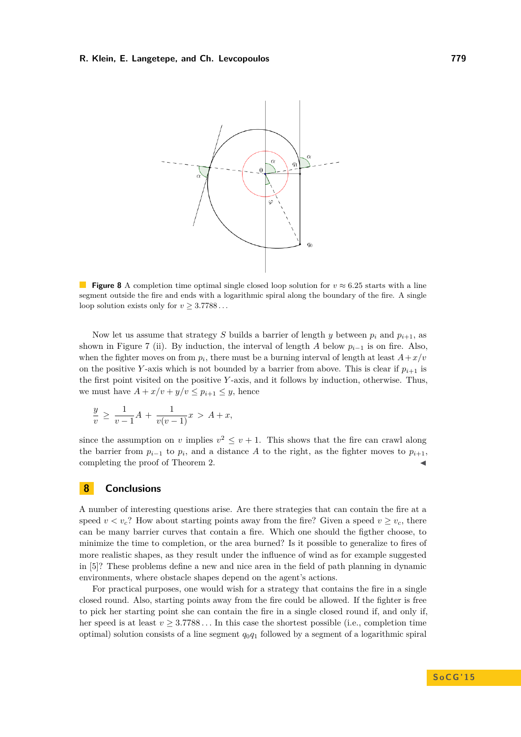<span id="page-11-0"></span>

**Figure 8** A completion time optimal single closed loop solution for *v* ≈ 6.25 starts with a line segment outside the fire and ends with a logarithmic spiral along the boundary of the fire. A single loop solution exists only for  $v > 3.7788...$ 

Now let us assume that strategy *S* builds a barrier of length *y* between  $p_i$  and  $p_{i+1}$ , as shown in Figure [7](#page-10-2) (ii). By induction, the interval of length *A* below  $p_{i-1}$  is on fire. Also, when the fighter moves on from  $p_i$ , there must be a burning interval of length at least  $A + x/v$ on the positive *Y*-axis which is not bounded by a barrier from above. This is clear if  $p_{i+1}$  is the first point visited on the positive *Y* -axis, and it follows by induction, otherwise. Thus, we must have  $A + x/v + y/v \leq p_{i+1} \leq y$ , hence

$$
\frac{y}{v} \ge \frac{1}{v-1}A + \frac{1}{v(v-1)}x > A + x,
$$

since the assumption on *v* implies  $v^2 \leq v + 1$ . This shows that the fire can crawl along the barrier from  $p_{i-1}$  to  $p_i$ , and a distance A to the right, as the fighter moves to  $p_{i+1}$ , completing the proof of Theorem [2.](#page-2-1)

## **8 Conclusions**

A number of interesting questions arise. Are there strategies that can contain the fire at a speed  $v < v_c$ ? How about starting points away from the fire? Given a speed  $v \ge v_c$ , there can be many barrier curves that contain a fire. Which one should the figther choose, to minimize the time to completion, or the area burned? Is it possible to generalize to fires of more realistic shapes, as they result under the influence of wind as for example suggested in [\[5\]](#page-12-0)? These problems define a new and nice area in the field of path planning in dynamic environments, where obstacle shapes depend on the agent's actions.

For practical purposes, one would wish for a strategy that contains the fire in a single closed round. Also, starting points away from the fire could be allowed. If the fighter is free to pick her starting point she can contain the fire in a single closed round if, and only if, her speed is at least  $v \geq 3.7788...$  In this case the shortest possible (i.e., completion time optimal) solution consists of a line segment *q*0*q*<sup>1</sup> followed by a segment of a logarithmic spiral